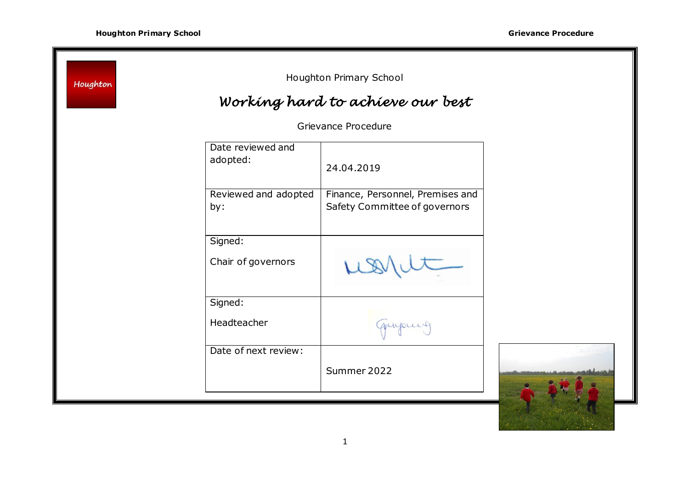I.

| Houghton |                               | Houghton Primary School                                           |  |
|----------|-------------------------------|-------------------------------------------------------------------|--|
|          |                               | Working hard to achieve our best                                  |  |
|          |                               | Grievance Procedure                                               |  |
|          | Date reviewed and<br>adopted: | 24.04.2019                                                        |  |
|          | Reviewed and adopted<br>by:   | Finance, Personnel, Premises and<br>Safety Committee of governors |  |
|          | Signed:                       |                                                                   |  |
|          | Chair of governors            |                                                                   |  |
|          | Signed:                       |                                                                   |  |
|          | Headteacher                   | quipment                                                          |  |
|          | Date of next review:          |                                                                   |  |
|          |                               | Summer 2022                                                       |  |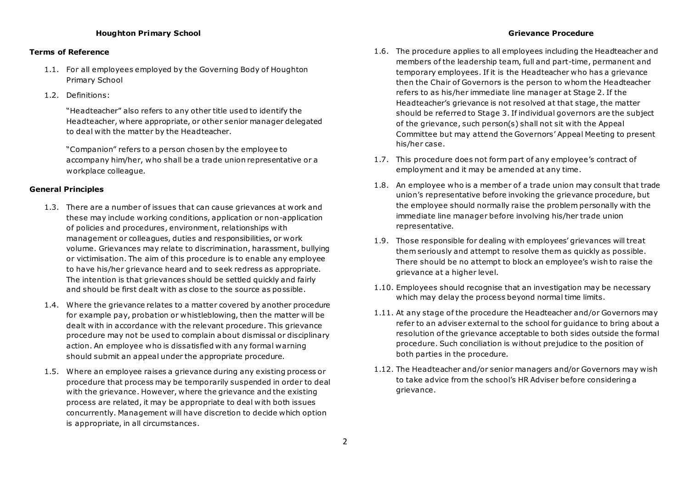# **Houghton Primary School Grievance Procedure**

# **Terms of Reference**

- 1.1. For all employees employed by the Governing Body of Houghton Primary School
- 1.2. Definitions:

"Headteacher" also refers to any other title used to identify the Headteacher, where appropriate, or other senior manager delegated to deal with the matter by the Headteacher.

"Companion" refers to a person chosen by the employee to accompany him/her, who shall be a trade union representative or a workplace colleague.

### **General Principles**

- 1.3. There are a number of issues that can cause grievances at work and these may include working conditions, application or non-application of policies and procedures, environment, relationships with management or colleagues, duties and responsibilities, or work volume. Grievances may relate to discrimination, harassment, bullying or victimisation. The aim of this procedure is to enable any employee to have his/her grievance heard and to seek redress as appropriate. The intention is that grievances should be settled quickly and fairly and should be first dealt with as close to the source as possible.
- 1.4. Where the grievance relates to a matter covered by another procedure for example pay, probation or whistleblowing, then the matter will be dealt with in accordance with the relevant procedure. This grievance procedure may not be used to complain about dismissal or disciplinary action. An employee who is dissatisfied with any formal warning should submit an appeal under the appropriate procedure.
- 1.5. Where an employee raises a grievance during any existing process or procedure that process may be temporarily suspended in order to deal with the grievance. However, where the grievance and the existing process are related, it may be appropriate to deal with both issues concurrently. Management will have discretion to decide which option is appropriate, in all circumstances.

- 1.6. The procedure applies to all employees including the Headteacher and members of the leadership team, full and part-time, permanent and temporary employees. If it is the Headteacher who has a grievance then the Chair of Governors is the person to whom the Headteacher refers to as his/her immediate line manager at Stage 2. If the Headteacher's grievance is not resolved at that stage, the matter should be referred to Stage 3. If individual governors are the subject of the grievance, such person(s) shall not sit with the Appeal Committee but may attend the Governors' Appeal Meeting to present his/her case.
- 1.7. This procedure does not form part of any employee's contract of employment and it may be amended at any time.
- 1.8. An employee who is a member of a trade union may consult that trade union's representative before invoking the grievance procedure, but the employee should normally raise the problem personally with the immediate line manager before involving his/her trade union representative.
- 1.9. Those responsible for dealing with employees' grievances will treat them seriously and attempt to resolve them as quickly as possible. There should be no attempt to block an employee's wish to raise the grievance at a higher level.
- 1.10. Employees should recognise that an investigation may be necessary which may delay the process beyond normal time limits.
- 1.11. At any stage of the procedure the Headteacher and/or Governors may refer to an adviser external to the school for guidance to bring about a resolution of the grievance acceptable to both sides outside the formal procedure. Such conciliation is without prejudice to the position of both parties in the procedure.
- 1.12. The Headteacher and/or senior managers and/or Governors may wish to take advice from the school's HR Adviser before considering a grievance.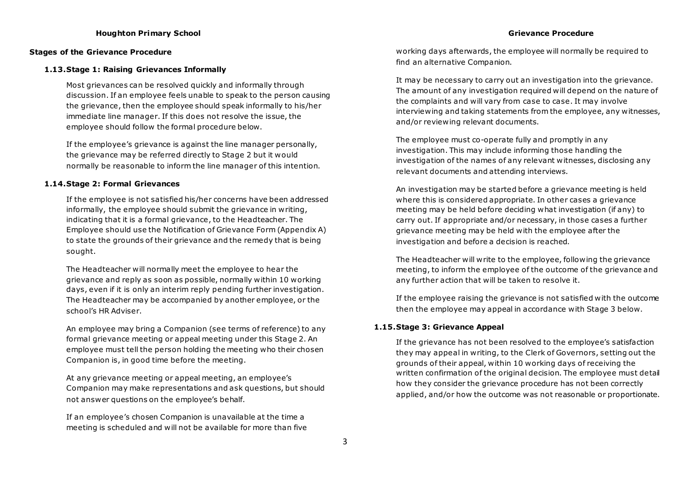## **Houghton Primary School Grievance Procedure**

#### **Stages of the Grievance Procedure**

#### **1.13.Stage 1: Raising Grievances Informally**

Most grievances can be resolved quickly and informally through discussion. If an employee feels unable to speak to the person causing the grievance, then the employee should speak informally to his/her immediate line manager. If this does not resolve the issue, the employee should follow the formal procedure below.

If the employee's grievance is against the line manager personally, the grievance may be referred directly to Stage 2 but it would normally be reasonable to inform the line manager of this intention.

### **1.14.Stage 2: Formal Grievances**

If the employee is not satisfied his/her concerns have been addressed informally, the employee should submit the grievance in writing, indicating that it is a formal grievance, to the Headteacher. The Employee should use the Notification of Grievance Form (Appendix A) to state the grounds of their grievance and the remedy that is being sought.

The Headteacher will normally meet the employee to hear the grievance and reply as soon as possible, normally within 10 working days, even if it is only an interim reply pending further investigation. The Headteacher may be accompanied by another employee, or the school's HR Adviser.

An employee may bring a Companion (see terms of reference) to any formal grievance meeting or appeal meeting under this Stage 2. An employee must tell the person holding the meeting who their chosen Companion is, in good time before the meeting.

At any grievance meeting or appeal meeting, an employee's Companion may make representations and ask questions, but should not answer questions on the employee's behalf.

If an employee's chosen Companion is unavailable at the time a meeting is scheduled and will not be available for more than five working days afterwards, the employee will normally be required to find an alternative Companion.

It may be necessary to carry out an investigation into the grievance. The amount of any investigation required will depend on the nature of the complaints and will vary from case to case. It may involve interviewing and taking statements from the employee, any witnesses, and/or reviewing relevant documents.

The employee must co-operate fully and promptly in any investigation. This may include informing those handling the investigation of the names of any relevant witnesses, disclosing any relevant documents and attending interviews.

An investigation may be started before a grievance meeting is held where this is considered appropriate. In other cases a grievance meeting may be held before deciding what investigation (if any) to carry out. If appropriate and/or necessary, in those cases a further grievance meeting may be held with the employee after the investigation and before a decision is reached.

The Headteacher will write to the employee, following the grievance meeting, to inform the employee of the outcome of the grievance and any further action that will be taken to resolve it.

If the employee raising the grievance is not satisfied with the outcome then the employee may appeal in accordance with Stage 3 below.

### **1.15.Stage 3: Grievance Appeal**

If the grievance has not been resolved to the employee's satisfaction they may appeal in writing, to the Clerk of Governors, setting out the grounds of their appeal, within 10 working days of receiving the written confirmation of the original decision. The employee must detail how they consider the grievance procedure has not been correctly applied, and/or how the outcome was not reasonable or proportionate.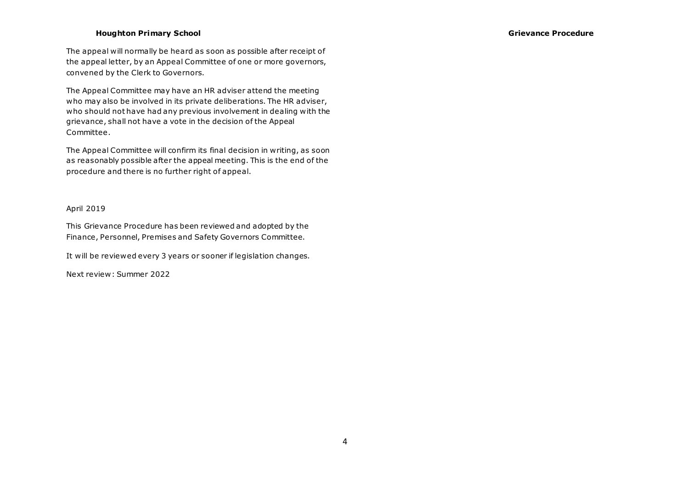# **Houghton Primary School Grievance Procedure**

The appeal will normally be heard as soon as possible after receipt of the appeal letter, by an Appeal Committee of one or more governors, convened by the Clerk to Governors.

The Appeal Committee may have an HR adviser attend the meeting who may also be involved in its private deliberations. The HR adviser, who should not have had any previous involvement in dealing with the grievance, shall not have a vote in the decision of the Appeal Committee.

The Appeal Committee will confirm its final decision in writing, as soon as reasonably possible after the appeal meeting. This is the end of the procedure and there is no further right of appeal.

# April 2019

This Grievance Procedure has been reviewed and adopted by the Finance, Personnel, Premises and Safety Governors Committee.

It will be reviewed every 3 years or sooner if legislation changes.

Next review: Summer 2022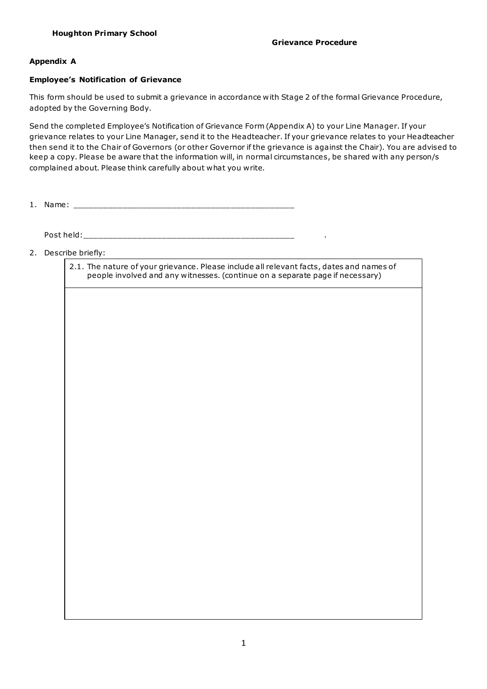# **Appendix A**

# **Employee's Notification of Grievance**

This form should be used to submit a grievance in accordance with Stage 2 of the formal Grievance Procedure, adopted by the Governing Body.

Send the completed Employee's Notification of Grievance Form (Appendix A) to your Line Manager. If your grievance relates to your Line Manager, send it to the Headteacher. If your grievance relates to your Headteacher then send it to the Chair of Governors (or other Governor if the grievance is against the Chair). You are advised to keep a copy. Please be aware that the information will, in normal circumstances, be shared with any person/s complained about. Please think carefully about what you write.

1. Name: \_\_\_\_\_\_\_\_\_\_\_\_\_\_\_\_\_\_\_\_\_\_\_\_\_\_\_\_\_\_\_\_\_\_\_\_\_\_\_\_\_\_\_\_\_

Post held:\_\_\_\_\_\_\_\_\_\_\_\_\_\_\_\_\_\_\_\_\_\_\_\_\_\_\_\_\_\_\_\_\_\_\_\_\_\_\_\_\_\_\_ .

2. Describe briefly:

2.1. The nature of your grievance. Please include all relevant facts, dates and names of people involved and any witnesses. (continue on a separate page if necessary)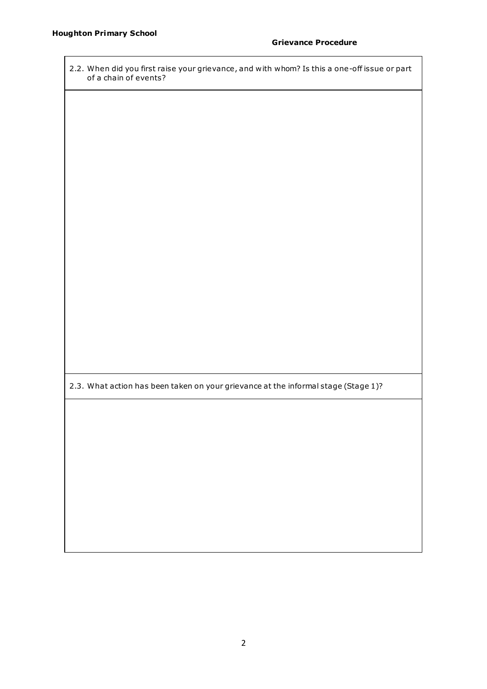| 2.2. When did you first raise your grievance, and with whom? Is this a one-off issue or part<br>of a chain of events? |  |  |  |
|-----------------------------------------------------------------------------------------------------------------------|--|--|--|
|                                                                                                                       |  |  |  |
|                                                                                                                       |  |  |  |
|                                                                                                                       |  |  |  |
|                                                                                                                       |  |  |  |
|                                                                                                                       |  |  |  |
|                                                                                                                       |  |  |  |
|                                                                                                                       |  |  |  |
|                                                                                                                       |  |  |  |
|                                                                                                                       |  |  |  |
|                                                                                                                       |  |  |  |
| 2.3. What action has been taken on your grievance at the informal stage (Stage 1)?                                    |  |  |  |
|                                                                                                                       |  |  |  |
|                                                                                                                       |  |  |  |
|                                                                                                                       |  |  |  |
|                                                                                                                       |  |  |  |
|                                                                                                                       |  |  |  |
|                                                                                                                       |  |  |  |